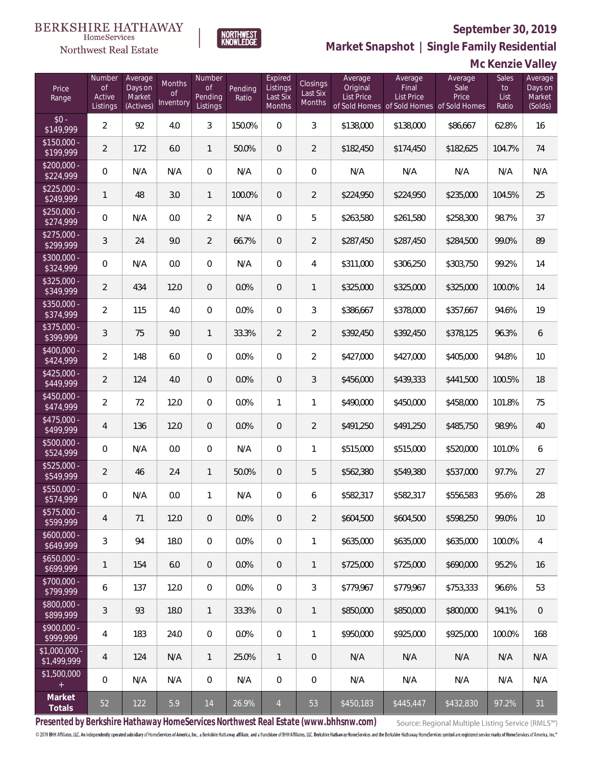**Mc Kenzie Valley**



NORTHWEST<br>KNOWLEDGE

**Market Snapshot | Single Family Residential**

#### HomeServices Northwest Real Estate

| Price<br>Range                | Number<br><b>of</b><br>Active<br>Listings | Average<br>Days on<br>Market<br>(Actives) | <b>Months</b><br><b>of</b><br>Inventory | Number<br><b>of</b><br>Pending<br>Listings | Pending<br>Ratio | Expired<br>Listings<br>Last Six<br>Months | Closings<br>Last Six<br>Months | Average<br>Original<br><b>List Price</b> | Average<br>Final<br><b>List Price</b><br>of Sold Homes of Sold Homes of Sold Homes | Average<br>Sale<br>Price | Sales<br>to<br>List<br>Ratio | Average<br>Days on<br>Market<br>(Solds) |
|-------------------------------|-------------------------------------------|-------------------------------------------|-----------------------------------------|--------------------------------------------|------------------|-------------------------------------------|--------------------------------|------------------------------------------|------------------------------------------------------------------------------------|--------------------------|------------------------------|-----------------------------------------|
| $$0 -$<br>\$149,999           | $\overline{2}$                            | 92                                        | 4.0                                     | 3                                          | 150.0%           | $\overline{0}$                            | 3                              | \$138,000                                | \$138,000                                                                          | \$86,667                 | 62.8%                        | 16                                      |
| $$150,000 -$<br>\$199,999     | $\overline{2}$                            | 172                                       | 6.0                                     | $\mathbf{1}$                               | 50.0%            | $\overline{0}$                            | $\overline{2}$                 | \$182,450                                | \$174,450                                                                          | \$182,625                | 104.7%                       | 74                                      |
| $$200,000 -$<br>\$224,999     | $\boldsymbol{0}$                          | N/A                                       | N/A                                     | $\boldsymbol{0}$                           | N/A              | $\mathbf{0}$                              | $\boldsymbol{0}$               | N/A                                      | N/A                                                                                | N/A                      | N/A                          | N/A                                     |
| $$225,000 -$<br>\$249,999     | $\mathbf{1}$                              | 48                                        | 3.0                                     | $\mathbf{1}$                               | 100.0%           | $\overline{0}$                            | $\overline{2}$                 | \$224,950                                | \$224,950                                                                          | \$235,000                | 104.5%                       | 25                                      |
| $$250,000 -$<br>\$274,999     | 0                                         | N/A                                       | 0.0                                     | $\overline{2}$                             | N/A              | $\overline{0}$                            | 5                              | \$263,580                                | \$261,580                                                                          | \$258,300                | 98.7%                        | 37                                      |
| $$275,000 -$<br>\$299,999     | $\sqrt{3}$                                | 24                                        | 9.0                                     | $\overline{2}$                             | 66.7%            | $\overline{0}$                            | $\overline{2}$                 | \$287,450                                | \$287,450                                                                          | \$284,500                | 99.0%                        | 89                                      |
| $$300,000 -$<br>\$324,999     | $\boldsymbol{0}$                          | N/A                                       | 0.0                                     | $\overline{0}$                             | N/A              | $\overline{0}$                            | $\overline{4}$                 | \$311,000                                | \$306,250                                                                          | \$303,750                | 99.2%                        | 14                                      |
| $$325,000 -$<br>\$349,999     | $\overline{2}$                            | 434                                       | 12.0                                    | 0                                          | 0.0%             | $\overline{0}$                            | $\mathbf{1}$                   | \$325,000                                | \$325,000                                                                          | \$325,000                | 100.0%                       | 14                                      |
| $$350,000 -$<br>\$374,999     | $\overline{2}$                            | 115                                       | 4.0                                     | $\overline{0}$                             | 0.0%             | $\overline{0}$                            | 3                              | \$386,667                                | \$378,000                                                                          | \$357,667                | 94.6%                        | 19                                      |
| $$375,000 -$<br>\$399,999     | $\sqrt{3}$                                | 75                                        | 9.0                                     | $\mathbf{1}$                               | 33.3%            | $\overline{2}$                            | $\overline{2}$                 | \$392,450                                | \$392,450                                                                          | \$378,125                | 96.3%                        | 6                                       |
| $$400,000 -$<br>\$424,999     | $\overline{2}$                            | 148                                       | 6.0                                     | 0                                          | 0.0%             | $\overline{0}$                            | $\overline{2}$                 | \$427,000                                | \$427,000                                                                          | \$405,000                | 94.8%                        | 10                                      |
| $$425,000 -$<br>\$449,999     | $\overline{2}$                            | 124                                       | 4.0                                     | 0                                          | 0.0%             | $\overline{0}$                            | 3                              | \$456,000                                | \$439,333                                                                          | \$441,500                | 100.5%                       | 18                                      |
| $$450,000 -$<br>\$474,999     | $\overline{2}$                            | 72                                        | 12.0                                    | 0                                          | 0.0%             | 1                                         | $\mathbf{1}$                   | \$490,000                                | \$450,000                                                                          | \$458,000                | 101.8%                       | 75                                      |
| $$475,000 -$<br>\$499,999     | 4                                         | 136                                       | 12.0                                    | 0                                          | 0.0%             | $\overline{0}$                            | $\overline{2}$                 | \$491,250                                | \$491,250                                                                          | \$485,750                | 98.9%                        | 40                                      |
| $$500,000 -$<br>\$524,999     | 0                                         | N/A                                       | 0.0                                     | 0                                          | N/A              | $\overline{0}$                            | $\mathbf{1}$                   | \$515,000                                | \$515,000                                                                          | \$520,000                | 101.0%                       | 6                                       |
| $$525,000 -$<br>\$549,999     | $\overline{2}$                            | 46                                        | 2.4                                     | $\mathbf{1}$                               | 50.0%            | $\overline{0}$                            | 5                              | \$562,380                                | \$549,380                                                                          | \$537,000                | 97.7%                        | 27                                      |
| \$550,000 -<br>\$574,999      | $\boldsymbol{0}$                          | N/A                                       | 0.0                                     | 1                                          | N/A              | $\mathbf{0}$                              | 6                              | \$582,317                                | \$582,317                                                                          | \$556,583                | 95.6%                        | 28                                      |
| $$575,000 -$<br>\$599,999     | 4                                         | 71                                        | 12.0                                    | 0                                          | 0.0%             | 0                                         | $\overline{2}$                 | \$604,500                                | \$604,500                                                                          | \$598,250                | 99.0%                        | 10                                      |
| $$600,000 -$<br>\$649,999     | $\sqrt{3}$                                | 94                                        | 18.0                                    | 0                                          | 0.0%             | $\overline{0}$                            | $\mathbf{1}$                   | \$635,000                                | \$635,000                                                                          | \$635,000                | 100.0%                       | $\overline{4}$                          |
| $$650,000 -$<br>5699,999      | $\mathbf{1}$                              | 154                                       | 6.0                                     | $\overline{0}$                             | 0.0%             | $\overline{0}$                            | $\mathbf{1}$                   | \$725,000                                | \$725,000                                                                          | \$690,000                | 95.2%                        | 16                                      |
| $$700,000 -$<br>\$799,999     | 6                                         | 137                                       | 12.0                                    | 0                                          | 0.0%             | $\mathbf 0$                               | 3                              | \$779,967                                | \$779,967                                                                          | \$753,333                | 96.6%                        | 53                                      |
| \$800,000 -<br>\$899,999      | $\sqrt{3}$                                | 93                                        | 18.0                                    | $\mathbf{1}$                               | 33.3%            | $\overline{0}$                            | $\mathbf{1}$                   | \$850,000                                | \$850,000                                                                          | \$800,000                | 94.1%                        | $\,0\,$                                 |
| $$900,000 -$<br>\$999,999     | 4                                         | 183                                       | 24.0                                    | $\boldsymbol{0}$                           | 0.0%             | $\mathbf 0$                               | $\mathbf{1}$                   | \$950,000                                | \$925,000                                                                          | \$925,000                | 100.0%                       | 168                                     |
| $$1,000,000 -$<br>\$1,499,999 | 4                                         | 124                                       | N/A                                     | $\mathbf{1}$                               | 25.0%            | $\mathbf{1}$                              | $\mathbf 0$                    | N/A                                      | N/A                                                                                | N/A                      | N/A                          | N/A                                     |
| \$1,500,000<br>$+$            | 0                                         | N/A                                       | N/A                                     | 0                                          | N/A              | $\mathbf 0$                               | $\mathbf 0$                    | N/A                                      | N/A                                                                                | N/A                      | N/A                          | N/A                                     |
| Market<br>Totals              | 52                                        | 122                                       | 5.9                                     | 14                                         | 26.9%            | $\overline{4}$                            | 53                             | \$450,183                                | \$445,447                                                                          | \$432,830                | 97.2%                        | 31                                      |

**Presented by Berkshire Hathaway HomeServices Northwest Real Estate (www.bhhsnw.com)**

Source: Regional Multiple Listing Service (RMLS™)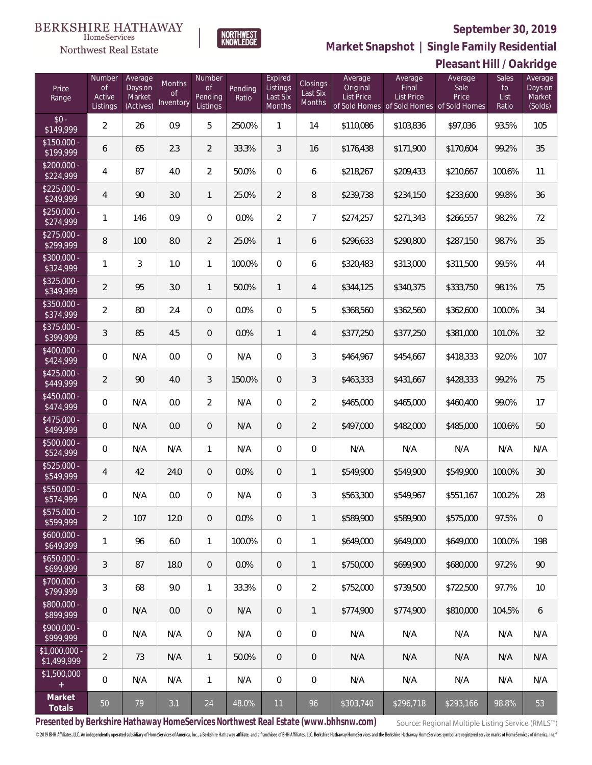

**NORTHWEST**<br>KNOWLEDGE

Northwest Real Estate

**Market Snapshot | Single Family Residential**

|  | Pleasant Hill / Oakridge |
|--|--------------------------|

| Price<br>Range               | Number<br><b>of</b><br>Active<br>Listings | Average<br>Days on<br>Market<br>(Actives) | Months<br><sub>of</sub><br>Inventory | Number<br>of<br>Pending<br>Listings | Pending<br>Ratio | Expired<br>Listings<br>Last Six<br>Months | Closings<br>Last Six<br>Months | Average<br>Original<br><b>List Price</b> | Average<br>Final<br><b>List Price</b><br>of Sold Homes of Sold Homes of Sold Homes | Average<br>Sale<br>Price | <b>Sales</b><br>to<br>List<br>Ratio | Average<br>Days on<br>Market<br>(Solds) |
|------------------------------|-------------------------------------------|-------------------------------------------|--------------------------------------|-------------------------------------|------------------|-------------------------------------------|--------------------------------|------------------------------------------|------------------------------------------------------------------------------------|--------------------------|-------------------------------------|-----------------------------------------|
| $$0 -$<br>\$149,999          | $\overline{2}$                            | 26                                        | 0.9                                  | 5                                   | 250.0%           | 1                                         | 14                             | \$110,086                                | \$103,836                                                                          | \$97,036                 | 93.5%                               | 105                                     |
| $$150,000 -$<br>\$199,999    | 6                                         | 65                                        | 2.3                                  | $\overline{2}$                      | 33.3%            | 3                                         | 16                             | \$176,438                                | \$171,900                                                                          | \$170,604                | 99.2%                               | 35                                      |
| $$200,000 -$<br>\$224,999    | $\overline{4}$                            | 87                                        | 4.0                                  | $\overline{2}$                      | 50.0%            | $\overline{0}$                            | 6                              | \$218,267                                | \$209,433                                                                          | \$210,667                | 100.6%                              | 11                                      |
| $$225,000 -$<br>\$249,999    | 4                                         | 90                                        | 3.0                                  | $\mathbf{1}$                        | 25.0%            | $\overline{2}$                            | 8                              | \$239,738                                | \$234,150                                                                          | \$233,600                | 99.8%                               | 36                                      |
| $$250,000 -$<br>\$274,999    | $\mathbf{1}$                              | 146                                       | 0.9                                  | $\overline{0}$                      | 0.0%             | $\overline{2}$                            | $\overline{7}$                 | \$274,257                                | \$271,343                                                                          | \$266,557                | 98.2%                               | 72                                      |
| $$275,000 -$<br>\$299,999    | 8                                         | 100                                       | 8.0                                  | $\overline{2}$                      | 25.0%            | $\mathbf{1}$                              | 6                              | \$296,633                                | \$290,800                                                                          | \$287,150                | 98.7%                               | 35                                      |
| $$300,000 -$<br>\$324,999    | $\mathbf{1}$                              | 3                                         | 1.0                                  | $\mathbf{1}$                        | 100.0%           | $\mathbf 0$                               | 6                              | \$320,483                                | \$313,000                                                                          | \$311,500                | 99.5%                               | 44                                      |
| $$325,000 -$<br>\$349,999    | $\overline{2}$                            | 95                                        | 3.0                                  | $\mathbf{1}$                        | 50.0%            | $\mathbf{1}$                              | $\overline{4}$                 | \$344,125                                | \$340,375                                                                          | \$333,750                | 98.1%                               | 75                                      |
| $$350,000 -$<br>\$374,999    | $\overline{2}$                            | 80                                        | 2.4                                  | $\overline{0}$                      | 0.0%             | $\overline{0}$                            | 5                              | \$368,560                                | \$362,560                                                                          | \$362,600                | 100.0%                              | 34                                      |
| $$375,000 -$<br>\$399,999    | 3                                         | 85                                        | 4.5                                  | $\overline{0}$                      | 0.0%             | $\mathbf{1}$                              | $\overline{4}$                 | \$377,250                                | \$377,250                                                                          | \$381,000                | 101.0%                              | 32                                      |
| $$400,000 -$<br>\$424,999    | 0                                         | N/A                                       | 0.0                                  | $\Omega$                            | N/A              | $\overline{0}$                            | 3                              | \$464,967                                | \$454,667                                                                          | \$418,333                | 92.0%                               | 107                                     |
| $$425,000 -$<br>\$449,999    | $\overline{2}$                            | 90                                        | 4.0                                  | 3                                   | 150.0%           | $\overline{0}$                            | 3                              | \$463,333                                | \$431,667                                                                          | \$428,333                | 99.2%                               | 75                                      |
| \$450,000 -<br>\$474,999     | 0                                         | N/A                                       | 0.0                                  | $\overline{2}$                      | N/A              | $\overline{0}$                            | $\overline{2}$                 | \$465,000                                | \$465,000                                                                          | \$460,400                | 99.0%                               | 17                                      |
| $$475,000 -$<br>\$499,999    | $\overline{0}$                            | N/A                                       | 0.0                                  | $\overline{0}$                      | N/A              | $\overline{0}$                            | $\overline{2}$                 | \$497,000                                | \$482,000                                                                          | \$485,000                | 100.6%                              | 50                                      |
| \$500,000 -<br>\$524,999     | 0                                         | N/A                                       | N/A                                  | $\mathbf{1}$                        | N/A              | $\overline{0}$                            | $\overline{0}$                 | N/A                                      | N/A                                                                                | N/A                      | N/A                                 | N/A                                     |
| \$525,000 -<br>\$549,999     | 4                                         | 42                                        | 24.0                                 | $\overline{0}$                      | 0.0%             | $\overline{0}$                            | $\mathbf{1}$                   | \$549,900                                | \$549,900                                                                          | \$549,900                | 100.0%                              | 30                                      |
| \$550,000 -<br>\$574,999     | 0                                         | N/A                                       | 0.0                                  | $\Omega$                            | N/A              | $\overline{0}$                            | 3                              | \$563,300                                | \$549,967                                                                          | \$551,167                | 100.2%                              | 28                                      |
| \$575,000 -<br>\$599,999     | $\overline{2}$                            | 107                                       | 12.0                                 | $\theta$                            | 0.0%             | $\overline{0}$                            | $\mathbf{1}$                   | \$589,900                                | \$589,900                                                                          | \$575,000                | 97.5%                               | $\mathbf 0$                             |
| $$600,000 -$<br>\$649,999    | $\mathbf{1}$                              | 96                                        | 6.0                                  | $\mathbf{1}$                        | 100.0%           | $\mathbf 0$                               | 1                              | \$649,000                                | \$649,000                                                                          | \$649,000                | 100.0%                              | 198                                     |
| $$650,000 -$<br>\$699,999    | 3                                         | 87                                        | 18.0                                 | $\overline{0}$                      | 0.0%             | $\overline{0}$                            | 1                              | \$750,000                                | \$699,900                                                                          | \$680,000                | 97.2%                               | 90                                      |
| $$700,000 -$<br>\$799,999    | 3                                         | 68                                        | 9.0                                  | $\mathbf{1}$                        | 33.3%            | $\overline{0}$                            | $\overline{2}$                 | \$752,000                                | \$739,500                                                                          | \$722,500                | 97.7%                               | 10                                      |
| \$800,000 -<br>\$899,999     | $\boldsymbol{0}$                          | N/A                                       | 0.0                                  | $\overline{0}$                      | N/A              | $\overline{0}$                            | $\mathbf{1}$                   | \$774,900                                | \$774,900                                                                          | \$810,000                | 104.5%                              | $6\,$                                   |
| $$900,000 -$<br>\$999,999    | 0                                         | N/A                                       | N/A                                  | $\mathbf 0$                         | N/A              | $\boldsymbol{0}$                          | $\boldsymbol{0}$               | N/A                                      | N/A                                                                                | N/A                      | N/A                                 | N/A                                     |
| \$1,000,000 -<br>\$1,499,999 | $\overline{2}$                            | 73                                        | N/A                                  | $\mathbf{1}$                        | 50.0%            | $\overline{0}$                            | 0                              | N/A                                      | N/A                                                                                | N/A                      | N/A                                 | N/A                                     |
| \$1,500,000<br>$+$           | $\mathbb O$                               | N/A                                       | N/A                                  | $\mathbf{1}$                        | N/A              | $\mathbf 0$                               | $\mathbf 0$                    | N/A                                      | N/A                                                                                | N/A                      | N/A                                 | N/A                                     |
| Market<br>Totals             | $50\,$                                    | 79                                        | 3.1                                  | 24                                  | 48.0%            | 11                                        | 96                             | \$303,740                                | \$296,718                                                                          | \$293,166                | 98.8%                               | 53                                      |

**Presented by Berkshire Hathaway HomeServices Northwest Real Estate (www.bhhsnw.com)**

Source: Regional Multiple Listing Service (RMLS™)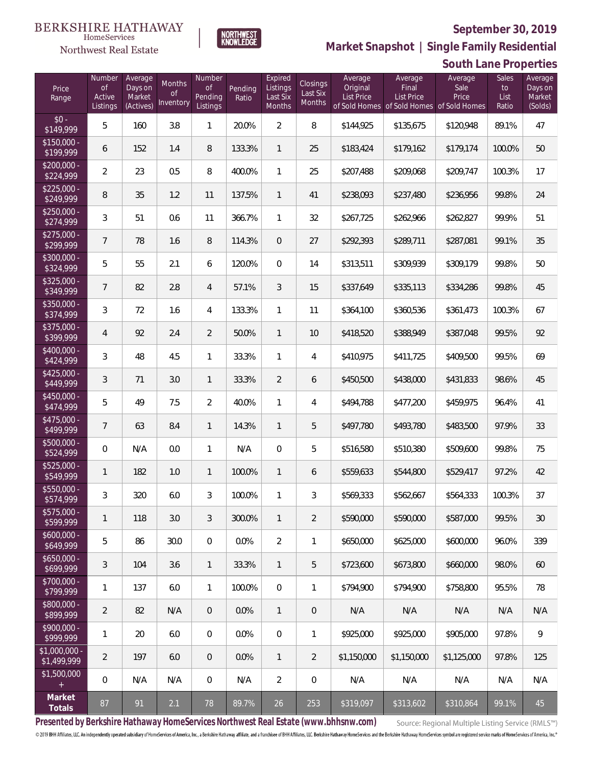

NORTHWEST<br>KNOWLEDGE

Northwest Real Estate

**Market Snapshot | Single Family Residential**

|                               | South Lane Properties                     |                                           |                           |                                            |                  |                                           |                                |                                          |                                                                                    |                          |                              |                                         |
|-------------------------------|-------------------------------------------|-------------------------------------------|---------------------------|--------------------------------------------|------------------|-------------------------------------------|--------------------------------|------------------------------------------|------------------------------------------------------------------------------------|--------------------------|------------------------------|-----------------------------------------|
| Price<br>Range                | Number<br><b>of</b><br>Active<br>Listings | Average<br>Days on<br>Market<br>(Actives) | Months<br>0f<br>Inventory | Number<br><b>of</b><br>Pending<br>Listings | Pending<br>Ratio | Expired<br>Listings<br>Last Six<br>Months | Closings<br>Last Six<br>Months | Average<br>Original<br><b>List Price</b> | Average<br>Final<br><b>List Price</b><br>of Sold Homes of Sold Homes of Sold Homes | Average<br>Sale<br>Price | Sales<br>to<br>List<br>Ratio | Average<br>Days on<br>Market<br>(Solds) |
| $$0 -$<br>\$149,999           | 5                                         | 160                                       | 3.8                       | $\mathbf{1}$                               | 20.0%            | $\overline{2}$                            | 8                              | \$144,925                                | \$135,675                                                                          | \$120,948                | 89.1%                        | 47                                      |
| $$150,000 -$<br>\$199,999     | 6                                         | 152                                       | 1.4                       | 8                                          | 133.3%           | $\mathbf{1}$                              | 25                             | \$183,424                                | \$179,162                                                                          | \$179,174                | 100.0%                       | 50                                      |
| $$200,000 -$<br>\$224,999     | $\overline{2}$                            | 23                                        | 0.5                       | 8                                          | 400.0%           | $\mathbf{1}$                              | 25                             | \$207,488                                | \$209,068                                                                          | \$209,747                | 100.3%                       | 17                                      |
| $$225,000 -$<br>\$249,999     | $\, 8$                                    | 35                                        | 1.2                       | 11                                         | 137.5%           | $\mathbf{1}$                              | 41                             | \$238,093                                | \$237,480                                                                          | \$236,956                | 99.8%                        | 24                                      |
| $$250,000 -$<br>\$274,999     | 3                                         | 51                                        | 0.6                       | 11                                         | 366.7%           | 1                                         | 32                             | \$267,725                                | \$262,966                                                                          | \$262,827                | 99.9%                        | 51                                      |
| $$275,000 -$<br>\$299,999     | $\overline{7}$                            | 78                                        | 1.6                       | 8                                          | 114.3%           | $\mathbf{0}$                              | 27                             | \$292,393                                | \$289,711                                                                          | \$287,081                | 99.1%                        | 35                                      |
| \$300,000 -<br>\$324,999      | 5                                         | 55                                        | 2.1                       | 6                                          | 120.0%           | $\mathbf{0}$                              | 14                             | \$313,511                                | \$309,939                                                                          | \$309,179                | 99.8%                        | 50                                      |
| $$325,000 -$<br>\$349,999     | $\overline{7}$                            | 82                                        | 2.8                       | 4                                          | 57.1%            | 3                                         | 15                             | \$337,649                                | \$335,113                                                                          | \$334,286                | 99.8%                        | 45                                      |
| \$350,000 -<br>\$374,999      | $\sqrt{3}$                                | 72                                        | 1.6                       | 4                                          | 133.3%           | 1                                         | 11                             | \$364,100                                | \$360,536                                                                          | \$361,473                | 100.3%                       | 67                                      |
| $$375,000 -$<br>\$399,999     | $\overline{4}$                            | 92                                        | 2.4                       | $\overline{2}$                             | 50.0%            | $\mathbf{1}$                              | 10                             | \$418,520                                | \$388,949                                                                          | \$387,048                | 99.5%                        | 92                                      |
| \$400,000 -<br>\$424,999      | 3                                         | 48                                        | 4.5                       | $\mathbf{1}$                               | 33.3%            | 1                                         | 4                              | \$410,975                                | \$411,725                                                                          | \$409,500                | 99.5%                        | 69                                      |
| $$425,000 -$<br>\$449,999     | 3                                         | 71                                        | 3.0                       | $\mathbf{1}$                               | 33.3%            | $\overline{2}$                            | 6                              | \$450,500                                | \$438,000                                                                          | \$431,833                | 98.6%                        | 45                                      |
| $$450,000 -$<br>\$474,999     | 5                                         | 49                                        | 7.5                       | $\overline{2}$                             | 40.0%            | 1                                         | 4                              | \$494,788                                | \$477,200                                                                          | \$459,975                | 96.4%                        | 41                                      |
| $$475,000 -$<br>\$499,999     | 7                                         | 63                                        | 8.4                       | $\mathbf{1}$                               | 14.3%            | $\mathbf{1}$                              | 5                              | \$497,780                                | \$493,780                                                                          | \$483,500                | 97.9%                        | 33                                      |
| \$500,000 -<br>\$524,999      | 0                                         | N/A                                       | 0.0                       | $\mathbf{1}$                               | N/A              | $\mathbf 0$                               | 5                              | \$516,580                                | \$510,380                                                                          | \$509,600                | 99.8%                        | 75                                      |
| $$525,000 -$<br>\$549,999     | 1                                         | 182                                       | 1.0                       | $\mathbf{1}$                               | 100.0%           | $\mathbf{1}$                              | 6                              | \$559,633                                | \$544,800                                                                          | \$529,417                | 97.2%                        | 42                                      |
| $$550,000 -$<br>\$574,999     | 3                                         | 320                                       | 6.0                       | 3                                          | 100.0%           | 1                                         | 3                              | \$569,333                                | \$562,667                                                                          | \$564,333                | 100.3%                       | 37                                      |
| \$575,000 -<br>\$599,999      | 1                                         | 118                                       | 3.0                       | 3                                          | 300.0%           | 1                                         | $\overline{2}$                 | \$590,000                                | \$590,000                                                                          | \$587,000                | 99.5%                        | 30                                      |
| $$600,000 -$<br>\$649,999     | 5                                         | 86                                        | 30.0                      | 0                                          | 0.0%             | $\overline{2}$                            | 1                              | \$650,000                                | \$625,000                                                                          | \$600,000                | 96.0%                        | 339                                     |
| $$650,000 -$<br>\$699,999     | 3                                         | 104                                       | 3.6                       | $\mathbf{1}$                               | 33.3%            | $\mathbf{1}$                              | 5                              | \$723,600                                | \$673,800                                                                          | \$660,000                | 98.0%                        | 60                                      |
| $$700,000 -$<br>\$799,999     | 1                                         | 137                                       | 6.0                       | $\mathbf{1}$                               | 100.0%           | $\overline{0}$                            | 1                              | \$794,900                                | \$794,900                                                                          | \$758,800                | 95.5%                        | 78                                      |
| $$800,000 -$<br>\$899,999     | $\overline{2}$                            | 82                                        | N/A                       | $\overline{0}$                             | 0.0%             | $\mathbf{1}$                              | $\overline{0}$                 | N/A                                      | N/A                                                                                | N/A                      | N/A                          | N/A                                     |
| $$900.000 -$<br>\$999,999     | 1                                         | 20                                        | 6.0                       | 0                                          | 0.0%             | $\overline{0}$                            | 1                              | \$925,000                                | \$925,000                                                                          | \$905,000                | 97.8%                        | 9                                       |
| $$1,000,000 -$<br>\$1,499,999 | $\overline{2}$                            | 197                                       | 6.0                       | $\overline{0}$                             | $0.0\%$          | $\mathbf{1}$                              | $\overline{2}$                 | \$1,150,000                              | \$1,150,000                                                                        | \$1,125,000              | 97.8%                        | 125                                     |
| \$1,500,000                   | 0                                         | N/A                                       | N/A                       | $\overline{0}$                             | N/A              | $\overline{2}$                            | $\mathbf{0}$                   | N/A                                      | N/A                                                                                | N/A                      | N/A                          | N/A                                     |
| Market<br>Totals              | 87                                        | 91                                        | 2.1                       | 78                                         | 89.7%            | 26                                        | 253                            | \$319,097                                | \$313,602                                                                          | \$310,864                | 99.1%                        | 45                                      |

**Presented by Berkshire Hathaway HomeServices Northwest Real Estate (www.bhhsnw.com)**

Source: Regional Multiple Listing Service (RMLS™)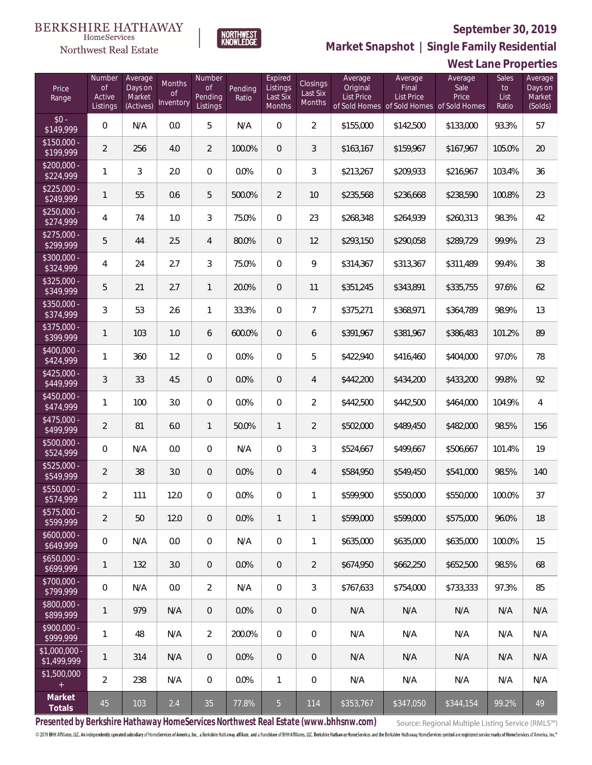

NORTHWEST<br>KNOWLEDGE

Northwest Real Estate

**Market Snapshot | Single Family Residential**

|                                      | West Lane Properties          |                              |                           |                                |                  |                                 |                                |                                          |                                           |                          |                     |                              |
|--------------------------------------|-------------------------------|------------------------------|---------------------------|--------------------------------|------------------|---------------------------------|--------------------------------|------------------------------------------|-------------------------------------------|--------------------------|---------------------|------------------------------|
| Price<br>Range                       | Number<br><b>of</b><br>Active | Average<br>Days on<br>Market | Months<br>of<br>Inventory | Number<br><b>of</b><br>Pending | Pending<br>Ratio | Expired<br>Listings<br>Last Six | Closings<br>Last Six<br>Months | Average<br>Original<br><b>List Price</b> | Average<br>Final<br><b>List Price</b>     | Average<br>Sale<br>Price | Sales<br>to<br>List | Average<br>Days on<br>Market |
| $$0 -$                               | Listings                      | (Actives)                    |                           | Listings                       |                  | Months                          |                                |                                          | of Sold Homes of Sold Homes of Sold Homes |                          | Ratio               | (Solds)                      |
| \$149,999<br>$\overline{$150,000}$ - | 0                             | N/A                          | 0.0                       | 5                              | N/A              | $\overline{0}$                  | $\overline{2}$                 | \$155,000                                | \$142,500                                 | \$133,000                | 93.3%               | 57                           |
| \$199,999                            | $\overline{2}$                | 256                          | 4.0                       | $\overline{2}$                 | 100.0%           | $\overline{0}$                  | 3                              | \$163,167                                | \$159,967                                 | \$167,967                | 105.0%              | 20                           |
| $$200,000 -$<br>\$224,999            | 1                             | 3                            | 2.0                       | $\overline{0}$                 | 0.0%             | $\mathbf{0}$                    | 3                              | \$213,267                                | \$209,933                                 | \$216,967                | 103.4%              | 36                           |
| $$225,000 -$<br>\$249,999            | 1                             | 55                           | 0.6                       | 5                              | 500.0%           | $\overline{2}$                  | 10                             | \$235,568                                | \$236,668                                 | \$238,590                | 100.8%              | 23                           |
| $$250.000 -$<br>\$274,999            | 4                             | 74                           | 1.0                       | 3                              | 75.0%            | $\overline{0}$                  | 23                             | \$268,348                                | \$264,939                                 | \$260,313                | 98.3%               | 42                           |
| $$275,000 -$<br>\$299,999            | 5                             | 44                           | 2.5                       | 4                              | 80.0%            | $\overline{0}$                  | 12                             | \$293,150                                | \$290,058                                 | \$289,729                | 99.9%               | 23                           |
| $$300.000 -$<br>\$324,999            | 4                             | 24                           | 2.7                       | 3                              | 75.0%            | $\overline{0}$                  | 9                              | \$314,367                                | \$313,367                                 | \$311,489                | 99.4%               | 38                           |
| $\overline{$325,000}$ -<br>\$349,999 | 5                             | 21                           | 2.7                       | $\mathbf{1}$                   | 20.0%            | $\overline{0}$                  | 11                             | \$351,245                                | \$343,891                                 | \$335,755                | 97.6%               | 62                           |
| $$350.000 -$<br>\$374,999            | 3                             | 53                           | 2.6                       | $\mathbf{1}$                   | 33.3%            | $\mathbf{0}$                    | $\overline{7}$                 | \$375,271                                | \$368,971                                 | \$364,789                | 98.9%               | 13                           |
| $$375,000 -$<br>\$399,999            | 1                             | 103                          | 1.0                       | 6                              | 600.0%           | $\overline{0}$                  | 6                              | \$391,967                                | \$381,967                                 | \$386,483                | 101.2%              | 89                           |
| $$400.000 -$<br>\$424,999            | 1                             | 360                          | 1.2                       | $\overline{0}$                 | 0.0%             | $\overline{0}$                  | 5                              | \$422,940                                | \$416,460                                 | \$404,000                | 97.0%               | 78                           |
| $$425,000 -$<br>\$449,999            | $\mathfrak{Z}$                | 33                           | 4.5                       | $\overline{0}$                 | 0.0%             | $\overline{0}$                  | 4                              | \$442,200                                | \$434,200                                 | \$433,200                | 99.8%               | 92                           |
| \$450,000 -<br>\$474,999             | 1                             | 100                          | 3.0                       | $\boldsymbol{0}$               | 0.0%             | $\mathbf 0$                     | $\overline{2}$                 | \$442,500                                | \$442,500                                 | \$464,000                | 104.9%              | 4                            |
| \$475,000 -<br>\$499,999             | $\overline{2}$                | 81                           | 6.0                       | $\mathbf{1}$                   | 50.0%            | $\mathbf{1}$                    | $\overline{2}$                 | \$502,000                                | \$489,450                                 | \$482,000                | 98.5%               | 156                          |
| \$500,000 -<br>\$524,999             | 0                             | N/A                          | 0.0                       | 0                              | N/A              | $\mathbf 0$                     | 3                              | \$524,667                                | \$499,667                                 | \$506,667                | 101.4%              | 19                           |
| \$525,000 -<br>\$549,999             | $\overline{2}$                | 38                           | 3.0                       | $\overline{0}$                 | 0.0%             | 0                               | 4                              | \$584,950                                | \$549,450                                 | \$541,000                | 98.5%               | 140                          |
| $$550.000 -$<br>\$574,999            | 2                             | 111                          | 12.0                      | $\overline{0}$                 | 0.0%             | $\overline{0}$                  | 1                              | \$599,900                                | \$550,000                                 | \$550,000                | 100.0%              | 37                           |
| $$575,000 -$<br>\$599,999            | $\overline{2}$                | 50                           | 12.0                      | $\overline{0}$                 | $0.0\%$          | $\mathbf{1}$                    | 1                              | \$599,000                                | \$599,000                                 | \$575,000                | 96.0%               | 18                           |
| $$600,000 -$<br>\$649,999            | 0                             | N/A                          | 0.0                       | 0                              | N/A              | $\mathbf 0$                     | 1                              | \$635,000                                | \$635,000                                 | \$635,000                | 100.0%              | 15                           |
| $$650,000 -$<br>\$699,999            | $\mathbf{1}$                  | 132                          | 3.0                       | $\overline{0}$                 | $0.0\%$          | $\mathbf{0}$                    | $\overline{2}$                 | \$674,950                                | \$662,250                                 | \$652,500                | 98.5%               | 68                           |
| $$700,000 -$<br>\$799,999            | 0                             | N/A                          | 0.0                       | $\overline{2}$                 | N/A              | $\mathbf 0$                     | 3                              | \$767,633                                | \$754,000                                 | \$733,333                | 97.3%               | 85                           |
| \$800,000 -<br>\$899,999             | $\mathbf{1}$                  | 979                          | N/A                       | $\overline{0}$                 | $0.0\%$          | $\mathbf{0}$                    | $\overline{0}$                 | N/A                                      | N/A                                       | N/A                      | N/A                 | N/A                          |
| \$900,000 -<br>\$999,999             | 1                             | 48                           | N/A                       | $\overline{2}$                 | 200.0%           | $\mathbf 0$                     | 0                              | N/A                                      | N/A                                       | N/A                      | N/A                 | N/A                          |
| $$1,000,000 -$<br>\$1,499,999        | 1                             | 314                          | N/A                       | $\overline{0}$                 | 0.0%             | $\mathbf{0}$                    | $\overline{0}$                 | N/A                                      | N/A                                       | N/A                      | N/A                 | N/A                          |
| \$1,500,000                          | $\overline{2}$                | 238                          | N/A                       | 0                              | 0.0%             | $\mathbf{1}$                    | 0                              | N/A                                      | N/A                                       | N/A                      | N/A                 | N/A                          |
| Market<br>Totals                     | 45                            | 103                          | 2.4                       | 35                             | 77.8%            | 5 <sub>5</sub>                  | 114                            | \$353,767                                | \$347,050                                 | \$344,154                | 99.2%               | 49                           |

**Presented by Berkshire Hathaway HomeServices Northwest Real Estate (www.bhhsnw.com)**

Source: Regional Multiple Listing Service (RMLS™)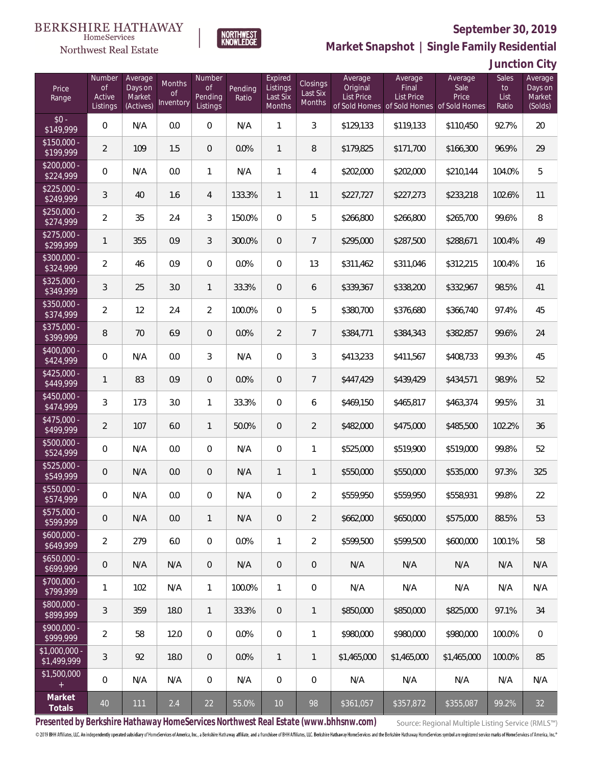

**NORTHWEST**<br>KNOWLEDGE

Northwest Real Estate

**Market Snapshot | Single Family Residential**

**Junction City**

| Price<br>Range                   | Number<br><b>of</b><br>Active<br>Listings | Average<br>Days on<br>Market<br>(Actives) | Months<br>0f<br>Inventory | Number<br>Οf<br>Pending<br>Listings | Pending<br>Ratio | Expired<br>Listings<br>Last Six<br>Months | Closings<br>Last Six<br>Months | Average<br>Original<br>List Price | Average<br>Final<br><b>List Price</b> | Average<br>Sale<br>Price<br>of Sold Homes of Sold Homes of Sold Homes | Sales<br>to<br>List<br>Ratio | Average<br>Days on<br>Market<br>(Solds) |
|----------------------------------|-------------------------------------------|-------------------------------------------|---------------------------|-------------------------------------|------------------|-------------------------------------------|--------------------------------|-----------------------------------|---------------------------------------|-----------------------------------------------------------------------|------------------------------|-----------------------------------------|
| $$0 -$<br>\$149,999              | 0                                         | N/A                                       | 0.0                       | $\overline{0}$                      | N/A              | $\mathbf{1}$                              | 3                              | \$129,133                         | \$119,133                             | \$110,450                                                             | 92.7%                        | 20                                      |
| $$150,000 -$<br>\$199,999        | $\overline{2}$                            | 109                                       | 1.5                       | $\overline{0}$                      | 0.0%             | $\mathbf{1}$                              | 8                              | \$179,825                         | \$171,700                             | \$166,300                                                             | 96.9%                        | 29                                      |
| $\sqrt{$200,000}$ -<br>\$224,999 | 0                                         | N/A                                       | 0.0                       | $\mathbf{1}$                        | N/A              | $\mathbf{1}$                              | 4                              | \$202,000                         | \$202,000                             | \$210.144                                                             | 104.0%                       | 5                                       |
| $$225,000 -$<br>\$249,999        | 3                                         | 40                                        | 1.6                       | $\overline{4}$                      | 133.3%           | $\mathbf{1}$                              | 11                             | \$227,727                         | \$227,273                             | \$233,218                                                             | 102.6%                       | 11                                      |
| $$250,000 -$<br>\$274,999        | $\overline{2}$                            | 35                                        | 2.4                       | 3                                   | 150.0%           | $\Omega$                                  | 5                              | \$266,800                         | \$266,800                             | \$265,700                                                             | 99.6%                        | 8                                       |
| $$275,000 -$<br>\$299,999        | $\mathbf{1}$                              | 355                                       | 0.9                       | 3                                   | 300.0%           | $\overline{0}$                            | $\overline{7}$                 | \$295,000                         | \$287,500                             | \$288,671                                                             | 100.4%                       | 49                                      |
| $$300,000 -$<br>\$324,999        | $\overline{2}$                            | 46                                        | 0.9                       | $\overline{0}$                      | 0.0%             | $\overline{0}$                            | 13                             | \$311,462                         | \$311,046                             | \$312,215                                                             | 100.4%                       | 16                                      |
| $$325,000 -$<br>\$349,999        | 3                                         | 25                                        | 3.0                       | $\mathbf{1}$                        | 33.3%            | $\overline{0}$                            | 6                              | \$339,367                         | \$338,200                             | \$332,967                                                             | 98.5%                        | 41                                      |
| $$350,000 -$<br>\$374,999        | $\overline{a}$                            | 12                                        | 2.4                       | $\overline{2}$                      | 100.0%           | $\Omega$                                  | 5                              | \$380,700                         | \$376,680                             | \$366,740                                                             | 97.4%                        | 45                                      |
| \$375,000 -<br>\$399,999         | 8                                         | 70                                        | 6.9                       | $\overline{0}$                      | 0.0%             | $\overline{2}$                            | $7\overline{ }$                | \$384,771                         | \$384,343                             | \$382,857                                                             | 99.6%                        | 24                                      |
| $$400,000 -$<br>\$424,999        | 0                                         | N/A                                       | 0.0                       | 3                                   | N/A              | $\overline{0}$                            | 3                              | \$413,233                         | \$411,567                             | \$408,733                                                             | 99.3%                        | 45                                      |
| $$425,000 -$<br>\$449,999        | $\mathbf{1}$                              | 83                                        | 0.9                       | $\overline{0}$                      | 0.0%             | $\overline{0}$                            | $\overline{7}$                 | \$447,429                         | \$439,429                             | \$434,571                                                             | 98.9%                        | 52                                      |
| $$450,000 -$<br>\$474,999        | 3                                         | 173                                       | 3.0                       | $\mathbf{1}$                        | 33.3%            | $\overline{0}$                            | 6                              | \$469,150                         | \$465,817                             | \$463,374                                                             | 99.5%                        | 31                                      |
| $$475,000 -$<br>\$499,999        | $\overline{2}$                            | 107                                       | 6.0                       | $\mathbf{1}$                        | 50.0%            | $\overline{0}$                            | $\overline{2}$                 | \$482,000                         | \$475,000                             | \$485,500                                                             | 102.2%                       | 36                                      |
| \$500,000 -<br>\$524,999         | 0                                         | N/A                                       | 0.0                       | $\overline{0}$                      | N/A              | $\overline{0}$                            | $\mathbf{1}$                   | \$525,000                         | \$519,900                             | \$519,000                                                             | 99.8%                        | 52                                      |
| $$525,000 -$<br>\$549,999        | 0                                         | N/A                                       | 0.0                       | $\overline{0}$                      | N/A              | $\mathbf{1}$                              | 1                              | \$550,000                         | \$550,000                             | \$535,000                                                             | 97.3%                        | 325                                     |
| \$550,000 -<br>\$574,999         | 0                                         | N/A                                       | 0.0                       | $\mathbf{0}$                        | N/A              | $\overline{0}$                            | $\overline{2}$                 | \$559,950                         | \$559,950                             | \$558,931                                                             | 99.8%                        | 22                                      |
| \$575,000 -<br>\$599,999         | 0                                         | N/A                                       | 0.0                       | $\mathbf{1}$                        | N/A              | $\overline{0}$                            | $\overline{2}$                 | \$662,000                         | \$650,000                             | \$575,000                                                             | 88.5%                        | 53                                      |
| $$600,000 -$<br>\$649,999        | $\overline{2}$                            | 279                                       | 6.0                       | $\mathbf 0$                         | 0.0%             | $\mathbf{1}$                              | $\overline{2}$                 | \$599,500                         | \$599,500                             | \$600,000                                                             | 100.1%                       | 58                                      |
| $$650,000 -$<br>\$699,999        | 0                                         | N/A                                       | N/A                       | $\mathbf 0$                         | N/A              | $\overline{0}$                            | $\mathbf 0$                    | N/A                               | N/A                                   | N/A                                                                   | N/A                          | N/A                                     |
| $$700,000 -$<br>\$799,999        | 1                                         | 102                                       | N/A                       | $\mathbf{1}$                        | 100.0%           | $\mathbf{1}$                              | $\mathbf 0$                    | N/A                               | N/A                                   | N/A                                                                   | N/A                          | N/A                                     |
| \$800,000 -<br>\$899,999         | $\mathfrak{Z}$                            | 359                                       | 18.0                      | $\mathbf{1}$                        | 33.3%            | $\sqrt{0}$                                | $\mathbf{1}$                   | \$850,000                         | \$850,000                             | \$825,000                                                             | 97.1%                        | 34                                      |
| $$900,000 -$<br>\$999,999        | $\overline{2}$                            | 58                                        | 12.0                      | $\overline{0}$                      | 0.0%             | $\mathbf 0$                               | $\mathbf{1}$                   | \$980,000                         | \$980,000                             | \$980,000                                                             | 100.0%                       | $\overline{0}$                          |
| \$1,000,000 -<br>\$1,499,999     | $\mathfrak{Z}$                            | 92                                        | 18.0                      | $\overline{0}$                      | 0.0%             | $\mathbf{1}$                              | $\mathbf{1}$                   | \$1,465,000                       | \$1,465,000                           | \$1,465,000                                                           | 100.0%                       | 85                                      |
| \$1,500,000<br>$\pm$             | 0                                         | N/A                                       | N/A                       | $\mathbf 0$                         | N/A              | $\mathbf 0$                               | $\mathbf 0$                    | N/A                               | N/A                                   | N/A                                                                   | N/A                          | N/A                                     |
| Market<br>Totals                 | $40\,$                                    | 111                                       | 2.4                       | 22                                  | 55.0%            | $10$                                      | 98                             | \$361,057                         | \$357,872                             | \$355,087                                                             | 99.2%                        | 32                                      |

**Presented by Berkshire Hathaway HomeServices Northwest Real Estate (www.bhhsnw.com)**

Source: Regional Multiple Listing Service (RMLS™)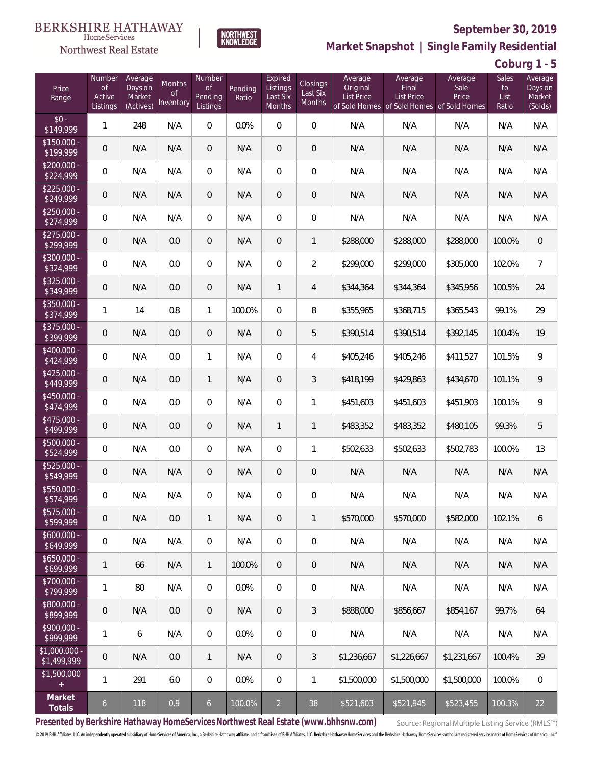

**NORTHWEST**<br>KNOWLEDGE

**Market Snapshot | Single Family Residential**

**Coburg 1 - 5**

| Price<br>Range                | Number<br><b>of</b><br>Active<br>Listings | Average<br>Days on<br>Market<br>(Actives) | Months<br>0f<br>Inventory | Number<br><b>of</b><br>Pending<br>Listings | Pending<br>Ratio | Expired<br>Listings<br>Last Six<br>Months | Closings<br>Last Six<br>Months | Average<br>Original<br><b>List Price</b> | Average<br>Final<br>List Price<br>of Sold Homes of Sold Homes of Sold Homes | Average<br>Sale<br>Price | Sales<br>to<br>List<br>Ratio | Average<br>Days on<br>Market<br>(Solds) |
|-------------------------------|-------------------------------------------|-------------------------------------------|---------------------------|--------------------------------------------|------------------|-------------------------------------------|--------------------------------|------------------------------------------|-----------------------------------------------------------------------------|--------------------------|------------------------------|-----------------------------------------|
| $$0 -$<br>\$149,999           | 1                                         | 248                                       | N/A                       | $\overline{0}$                             | 0.0%             | $\Omega$                                  | $\overline{0}$                 | N/A                                      | N/A                                                                         | N/A                      | N/A                          | N/A                                     |
| $$150,000 -$<br>\$199,999     | 0                                         | N/A                                       | N/A                       | $\overline{0}$                             | N/A              | $\Omega$                                  | $\overline{0}$                 | N/A                                      | N/A                                                                         | N/A                      | N/A                          | N/A                                     |
| $$200,000 -$<br>\$224,999     | 0                                         | N/A                                       | N/A                       | $\overline{0}$                             | N/A              | $\Omega$                                  | $\overline{0}$                 | N/A                                      | N/A                                                                         | N/A                      | N/A                          | N/A                                     |
| $$225,000 -$<br>\$249,999     | 0                                         | N/A                                       | N/A                       | $\overline{0}$                             | N/A              | $\overline{0}$                            | $\overline{0}$                 | N/A                                      | N/A                                                                         | N/A                      | N/A                          | N/A                                     |
| $$250,000 -$<br>\$274,999     | 0                                         | N/A                                       | N/A                       | $\overline{0}$                             | N/A              | $\Omega$                                  | $\overline{0}$                 | N/A                                      | N/A                                                                         | N/A                      | N/A                          | N/A                                     |
| $$275,000 -$<br>\$299,999     | 0                                         | N/A                                       | 0.0                       | $\overline{0}$                             | N/A              | $\overline{0}$                            | $\mathbf{1}$                   | \$288,000                                | \$288,000                                                                   | \$288,000                | 100.0%                       | $\mathbf 0$                             |
| $$300,000 -$<br>\$324,999     | 0                                         | N/A                                       | 0.0                       | $\overline{0}$                             | N/A              | $\Omega$                                  | $\overline{2}$                 | \$299,000                                | \$299,000                                                                   | \$305,000                | 102.0%                       | $\overline{7}$                          |
| $$325,000 -$<br>\$349,999     | 0                                         | N/A                                       | 0.0                       | $\overline{0}$                             | N/A              | $\mathbf{1}$                              | $\overline{4}$                 | \$344,364                                | \$344,364                                                                   | \$345,956                | 100.5%                       | 24                                      |
| $$350,000 -$<br>\$374,999     | 1                                         | 14                                        | 0.8                       | $\mathbf{1}$                               | 100.0%           | $\Omega$                                  | 8                              | \$355,965                                | \$368,715                                                                   | \$365,543                | 99.1%                        | 29                                      |
| $$375,000 -$<br>\$399,999     | 0                                         | N/A                                       | 0.0                       | $\overline{0}$                             | N/A              | $\overline{0}$                            | 5                              | \$390,514                                | \$390,514                                                                   | \$392,145                | 100.4%                       | 19                                      |
| $$400,000 -$<br>\$424,999     | 0                                         | N/A                                       | 0.0                       | $\mathbf{1}$                               | N/A              | $\overline{0}$                            | 4                              | \$405,246                                | \$405,246                                                                   | \$411,527                | 101.5%                       | 9                                       |
| $$425,000 -$<br>\$449,999     | 0                                         | N/A                                       | 0.0                       | $\mathbf{1}$                               | N/A              | $\overline{0}$                            | 3                              | \$418,199                                | \$429,863                                                                   | \$434,670                | 101.1%                       | 9                                       |
| \$450,000 -<br>\$474,999      | 0                                         | N/A                                       | 0.0                       | $\overline{0}$                             | N/A              | $\overline{0}$                            | 1                              | \$451,603                                | \$451,603                                                                   | \$451,903                | 100.1%                       | 9                                       |
| $$475,000 -$<br>\$499,999     | 0                                         | N/A                                       | 0.0                       | $\overline{0}$                             | N/A              | $\mathbf{1}$                              | $\mathbf{1}$                   | \$483,352                                | \$483,352                                                                   | \$480,105                | 99.3%                        | 5                                       |
| \$500,000 -<br>\$524,999      | 0                                         | N/A                                       | 0.0                       | $\overline{0}$                             | N/A              | $\overline{0}$                            | 1                              | \$502,633                                | \$502,633                                                                   | \$502,783                | 100.0%                       | 13                                      |
| \$525,000 -<br>\$549,999      | 0                                         | N/A                                       | N/A                       | $\overline{0}$                             | N/A              | $\overline{0}$                            | 0                              | N/A                                      | N/A                                                                         | N/A                      | N/A                          | N/A                                     |
| \$550,000 -<br>\$574,999      | 0                                         | N/A                                       | N/A                       | $\overline{0}$                             | N/A              | $\overline{0}$                            | 0                              | N/A                                      | N/A                                                                         | N/A                      | N/A                          | N/A                                     |
| \$575,000 -<br>\$599,999      | 0                                         | N/A                                       | 0.0                       | $\mathbf{1}$                               | N/A              | $\theta$                                  | 1                              | \$570,000                                | \$570,000                                                                   | \$582,000                | 102.1%                       | 6                                       |
| $$600,000 -$<br>\$649,999     | 0                                         | N/A                                       | N/A                       | $\mathbf 0$                                | N/A              | $\boldsymbol{0}$                          | $\mathbf 0$                    | N/A                                      | N/A                                                                         | N/A                      | N/A                          | N/A                                     |
| $$650,000 -$<br>\$699,999     | 1                                         | 66                                        | N/A                       | $\mathbf{1}$                               | 100.0%           | $\overline{0}$                            | 0                              | N/A                                      | N/A                                                                         | N/A                      | N/A                          | N/A                                     |
| \$700,000 -<br>\$799,999      | 1                                         | 80                                        | N/A                       | $\overline{0}$                             | 0.0%             | 0                                         | 0                              | N/A                                      | N/A                                                                         | N/A                      | N/A                          | N/A                                     |
| \$800,000 -<br>\$899,999      | 0                                         | N/A                                       | 0.0                       | $\overline{0}$                             | N/A              | $\theta$                                  | 3                              | \$888,000                                | \$856,667                                                                   | \$854,167                | 99.7%                        | 64                                      |
| \$900,000 -<br>\$999,999      | 1                                         | 6                                         | N/A                       | $\overline{0}$                             | 0.0%             | 0                                         | 0                              | N/A                                      | N/A                                                                         | N/A                      | N/A                          | N/A                                     |
| $$1,000,000 -$<br>\$1,499,999 | 0                                         | N/A                                       | 0.0                       | $\mathbf{1}$                               | N/A              | $\theta$                                  | 3                              | \$1,236,667                              | \$1,226,667                                                                 | \$1,231,667              | 100.4%                       | 39                                      |
| \$1,500,000<br>$\pm$          | 1                                         | 291                                       | 6.0                       | $\overline{0}$                             | 0.0%             | $\boldsymbol{0}$                          | 1                              | \$1,500,000                              | \$1,500,000                                                                 | \$1,500,000              | 100.0%                       | 0                                       |
| Market<br>Totals              | $\mathfrak{b}$                            | 118                                       | 0.9                       | $\sqrt{6}$                                 | 100.0%           | $\overline{2}$                            | 38                             | \$521,603                                | \$521,945                                                                   | \$523,455                | 100.3%                       | 22                                      |

**Presented by Berkshire Hathaway HomeServices Northwest Real Estate (www.bhhsnw.com)**

Source: Regional Multiple Listing Service (RMLS™)